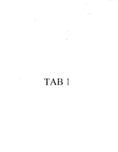# TAB 1

 $\ddot{\phantom{a}}$ 

 $\ddot{\phantom{0}}$ 

 $\ddot{\phantom{0}}$ 

 $\ddot{\phantom{a}}$ 

 $\bar{\beta}$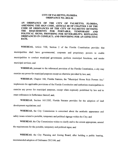#### CITY OF PALMETTO, FLORIDA **ORDINANCE NO. 2012-04**

AN ORDINANCE OF THE CITY OF PALMETTO, FLORIDA, AMENDING THE SIGN CODE, ARTICLE III OF CHAPTER <sup>3</sup> OF THE CODE OF ORDINANCES OF THE CITY OF PALMETTO REVISING<br>THE REQUIRMENTS FOR PORTABLE, TEMPORARY AND THE REQUIRMENTS FOR PORTABLE, TEMPORARY AND POLITICAL SIGNS; PROVIDING FOR SEVERABILITY; REPEALING ORDINANCES IN CONFLICT; AND PROVIDING FOR AN EFFECTIVE DATE.

WHEREAS, Article VIII, Section <sup>2</sup> of the Florida Constitution provides that municipalities shall have governmental, corporate and proprietary powers to enable municipalities to conduct municipal government, perform municipal functions, and render municipal services; and

WHEREAS, pursuant to the referenced provision of the Florida Constitution, a city may exercise any power for municipal purposes except as otherwise provided by law; and,

WHEREAS, Chapter 166, Florida Statutes, the "Municipal Home Rule Powers Act," implements the applicable provisions of the Florida Constitution and authorizes municipalities to exercise any power for municipal purposes, except when expressly prohibited by law and to enact ordinances in furtherance thereof; and,

WHEREAS, Section 163.3202, Florida Statutes provides for the adoption of land development regulations; and

WHEREAS, the City Commission is concerned about the aesthetic appearance and safety issues related to portable, temporary and political signage within the City; and

WHEREAS, the City Commission wishes to clarify and to the extent appropriate, amend the requirements for the portable, temporary and political signs; and

WHEREAS, the City Planning and Zoning Board, after holding <sup>a</sup> public hearing, recommended adoption of Ordinance 2012-04; and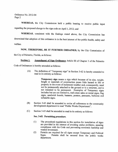WHEREAS, the City Commission held <sup>a</sup> public hearing to receive public input regarding the proposed change to the sign code on April 1, 2012; and

WHEREAS, consistent with the findings stated above, the City Commission has determined that adoption of this ordinance is in the best interest of the public health, safety and welfare.

NOW, THEREFORE, BE IT FURTHER ORDAINED, by the City Commission of

the City of Palmetto, Florida, as follows:

### Section 1. Amendment of Sign Ordinance Article III of Chapter 3 of the Palmetto

Code of Ordinances is hereby amended as follows:

(A) The definition of "Temporary sign" in Section 3-62 is hereby amended to read in its entirety as follows:

> Temporary sign means a sign which because of its size, weight, height or materials of construction poses little hazard to life or property in the event of inclement weather and, consequently, need not be permanently attached to the ground or to a structure, and is not intended to be permanent. Examples of Temporary signs includes but are not limited to, real estate sales or rental signs, flag signs, sandwich boards, banners, posters, pennants, balloons and inflatable signs.

- (B) Section 3-63 shall be amended to revise all references to the community development department to read "Public Works Department".
- (C) Section 3-65 shall be amended to read in its entirety as follows:

#### Sec. 3-65. Permitting procedure.

- 1) The procedural regulations in this section for installation of signs are provided in the interest of avoiding undue problems, assuring compliance with the Code and preventing economic hardship and wasted investment.
- 2) Permits are required for all signs except Temporary and Political Permits shall be secured from the public works department.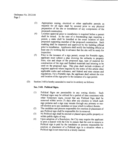- 3) Appropriate zoning, electrical or other applicable permits as required for all signs shall be secured prior to any physical preparation of the site or installation of any components of the proposed construction.
- 4) Location approval prior to installation is required before <sup>a</sup> permit shall be issued. In the case of <sup>a</sup> freestanding sign requiring <sup>a</sup> permit, a stake shall be installed at the exact location of each proposed supporting member of the proposed construction. Such marking shall be inspected and approved by the building official prior to installation. Applicants shall notify the building official at least one (1) working day in advance that the site will be ready for inspection.
- 5) Prior to the issuance of a sign permit, except for Portable signs, applicant must submit a plan showing the setbacks to property lines, size and shape of the proposed sign, type of material for construction of the sign and finished materials and lettering to be used on the proposed sign. This plan shall include evidence of engineer approval where required by the terms of this article other applicable codes and ordinance, and federal and state statues and regulations. For a Portable sign, the applicant shall submit the size and location of the sign prior to the issuance of <sup>a</sup> sign permit.
- (D) Section 3-68 is hereby amended to read in its entirety as follows:

#### Sec. 3-68. Political Signs.

- 1) Political Signs are permissible in any zoning district. Such Political signs may be utilized for <sup>a</sup> period of time consistent with other Temporary signs, except that any Political Sign shall be removed within seven (7) days after any election to which such sign pertains and a sign may remain through any primary or runoff election as to any candidate or issue which is subject thereto.
- 2) The candidate and persons responsible for erection or placement of any Political sign shall be responsible for its removal.
- 3) No Political sign shall be erected or placed upon public property or within public rights of way.
- 4) Upon adoption of <sup>a</sup> Resolution, the City may require the applicant to post a deposit with the City to ensure that the cost to remove a Political sign is paid by the candidate or persons responsible for erection or placement of <sup>a</sup> Political sign in a situation where a Political sign is not removed in a timely manner.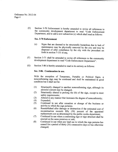E) Section 3- <sup>70</sup> Enforcement is hereby amended to revise all references to the community development department to read "Code Enforcement Department, and to add a new subsection (c) which shall read as follows:

#### Sec. 3-70 Enforcement

- c) Signs that are deemed to be structurally hazardous due to lack of maintenance may be physically removed by the city and may be disposed of after compliance by the city with the procedure set forth in section 7-151 et seq.
- (F) Section 3-71 shall be amended to revise all references to the community development department to read "Code Enforcement Department".
- G) Section 3- <sup>86</sup> is hereby amended to read in its entirety as follows:

#### Sec. 3-86. Continuation in use.

With the exception of Temporary, Portable or Political Signs, <sup>a</sup> nonconforming sign may be continued and shall be maintained in good condition but it shall not be:

- 1) Structurally changed to another nonconforming sign, although its pictorial content may be changed;
- 2) Structurally altered to prolong the life of the sign, except to meet safety requirements;
- 3) Altered in any manner that increases the degree of nonconformity;
- Expanded;
- 5) Continued in use after cessation or change of the business or activity to which the sign pertains;
- 6) Reestablished after damage or destruction if the estimated cost of reconstruction exceeds fifty (50) percent of the appraised replacement cost as determined by the public works department;
- 7) Continued in use when <sup>a</sup> conforming sign or sign structure shall be erected on the same premises or unit;
- 8) Continued in use when any land use to which the sign pertains has ceased for a period of thirty (30) consecutive days or has otherwise changed;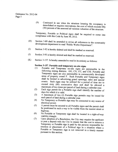> 9) Continued in use when the structure housing the occupancy is demolished or requires renovations, the cost of which exceeds fifty  $(50)$  percent of the assessed ad valorem valuation of the structure.

> Temporary, Portable or Political signs shall be required to come into compliance with this Code by June 30, 2012.

- H) Section 3-89 shall be amended to revise all references to the community development department to read "Public Works Department".
- I) Section 3- 92 is hereby deleted and shall be marked as reserved.
- (J) Section 3-93 is hereby deleted and shall be marked as reserved.
- $(K)$  Section 3-157. Is hereby amended to read in its entirety as follows:

## Section 3-157. Portable and temporary on-site signs  $(1)$  Portable and Temporary on-site signs are

- Portable and Temporary on-site signs are permissible in the following zoning districts: GO, CN, CC, and CHI. Portable and Temporary signs are also permissible in commercially developed areas of property zoned P. Such Portable and Temporary signs shall be limited to advertising grand openings, sales and special events. Such signs may be utilized for <sup>a</sup> period of time not to exceed sixty (60) consecutive days and shall be allowed a maximum of two times per parcel of land during <sup>a</sup> calendar year.
- 2) Each sign permit for <sup>a</sup> Portable sign shall identify the number of days for which it is valid.
- $3)$  A maximum of two  $(2)$  Portable sign permits may be issued for each parcel of land during a calendar year.
- 4) No Temporary or Portable sign may be connected to any source of electrical power.
- 5) A permit must be secured to all Portable signs and the permit shall be positioned in such <sup>a</sup> way to be visible from the nearest street or highway.
- 6) No Portable or Temporary sign shall be located in <sup>a</sup> right-of-way viability triangle.
- 7) Upon adoption of <sup>a</sup> Resolution, the City may require the applicant to post <sup>a</sup> deposit with the City to ensure that the cost to remove <sup>a</sup> Temporary or Portable sign is paid by the persons responsible for erection or placement of a Political sign in a situation where <sup>a</sup> Portable or Temporary sign is not removed in <sup>a</sup> timely manner pursuant to this section.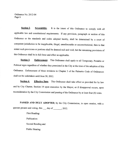Section 2. Severability. It is the intent of this Ordinance to comply with all applicable law and constitutional requirements. If any provision, paragraph or section of this Ordinance or the standards and codes adopted hereby, shall be determined by <sup>a</sup> court of competent jurisdiction to be inapplicable, illegal, unenforceable or unconstitutional, then to that extent such provisions or portions shall be deemed null and void, but the remaining provisions of this Ordinance shall be in full force and effect as applicable.

Section 3. Enforcement. This Ordinance shall apply to all Temporary, Portable or Political signs regardless of whether they preexisted in the City at the time of the adoption of this Ordinance. Enforcement of these revisions to Chapter <sup>3</sup> of the Palmetto Code of Ordinances shall not be undertaken until June 30, 2012.

Section 4. Effective Date. This Ordinance shall take effect as provided for by law and by City Charter, Section <sup>14</sup> upon execution by the Mayor, or if disapproval occurs, upon reconsideration by the City Commission and passing of the Ordinance by at least four (4) votes.

PASSED AND DULY ADOPTED, by the City Commission, in open session, with a quorum present and voting, this \_\_\_ day of \_\_\_\_\_\_\_, 2012.

> First Reading: Publication: Second Reading and Public Hearing: